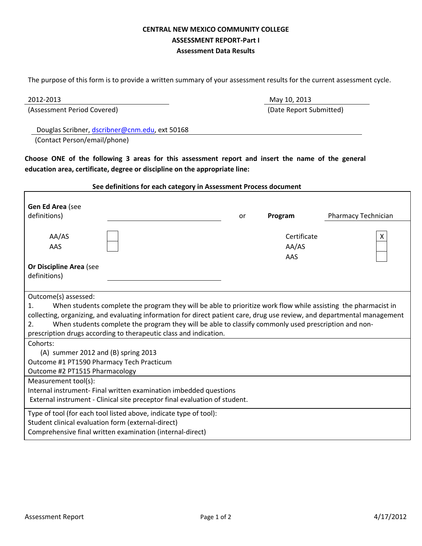## **CENTRAL NEW MEXICO COMMUNITY COLLEGE ASSESSMENT REPORT-Part I Assessment Data Results**

The purpose of this form is to provide a written summary of your assessment results for the current assessment cycle.

Г

(Assessment Period Covered) (Date Report Submitted)

May 10, 2013

Douglas Scribner, dscribner@cnm.edu, ext 50168

(Contact Person/email/phone)

**Choose ONE of the following 3 areas for this assessment report and insert the name of the general education area, certificate, degree or discipline on the appropriate line:** 

#### **See definitions for each category in Assessment Process document**

| Gen Ed Area (see<br>definitions)                                                                                                                                                                                                                                                                                                                                                                                                                            |  | or | Program                     | Pharmacy Technician |
|-------------------------------------------------------------------------------------------------------------------------------------------------------------------------------------------------------------------------------------------------------------------------------------------------------------------------------------------------------------------------------------------------------------------------------------------------------------|--|----|-----------------------------|---------------------|
| AA/AS<br>AAS                                                                                                                                                                                                                                                                                                                                                                                                                                                |  |    | Certificate<br>AA/AS<br>AAS | X                   |
| <b>Or Discipline Area (see</b><br>definitions)                                                                                                                                                                                                                                                                                                                                                                                                              |  |    |                             |                     |
| Outcome(s) assessed:<br>When students complete the program they will be able to prioritize work flow while assisting the pharmacist in<br>1.<br>collecting, organizing, and evaluating information for direct patient care, drug use review, and departmental management<br>When students complete the program they will be able to classify commonly used prescription and non-<br>2.<br>prescription drugs according to therapeutic class and indication. |  |    |                             |                     |
| Cohorts:<br>(A) summer 2012 and (B) spring 2013<br>Outcome #1 PT1590 Pharmacy Tech Practicum<br>Outcome #2 PT1515 Pharmacology                                                                                                                                                                                                                                                                                                                              |  |    |                             |                     |
| Measurement tool(s):<br>Internal instrument- Final written examination imbedded questions<br>External instrument - Clinical site preceptor final evaluation of student.                                                                                                                                                                                                                                                                                     |  |    |                             |                     |
| Type of tool (for each tool listed above, indicate type of tool):<br>Student clinical evaluation form (external-direct)<br>Comprehensive final written examination (internal-direct)                                                                                                                                                                                                                                                                        |  |    |                             |                     |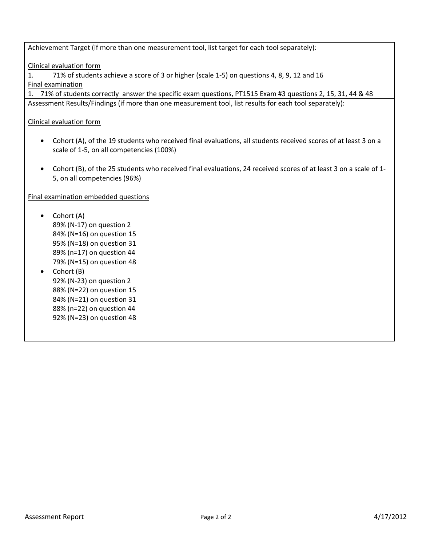Achievement Target (if more than one measurement tool, list target for each tool separately):

Clinical evaluation form

1. 71% of students achieve a score of 3 or higher (scale 1-5) on questions 4, 8, 9, 12 and 16 Final examination

1. 71% of students correctly answer the specific exam questions, PT1515 Exam #3 questions 2, 15, 31, 44 & 48 Assessment Results/Findings (if more than one measurement tool, list results for each tool separately):

Clinical evaluation form

- Cohort (A), of the 19 students who received final evaluations, all students received scores of at least 3 on a scale of 1-5, on all competencies (100%)
- Cohort (B), of the 25 students who received final evaluations, 24 received scores of at least 3 on a scale of 1- 5, on all competencies (96%)

Final examination embedded questions

- Cohort (A) 89% (N-17) on question 2 84% (N=16) on question 15 95% (N=18) on question 31 89% (n=17) on question 44 79% (N=15) on question 48 • Cohort (B)
- 92% (N-23) on question 2 88% (N=22) on question 15 84% (N=21) on question 31 88% (n=22) on question 44 92% (N=23) on question 48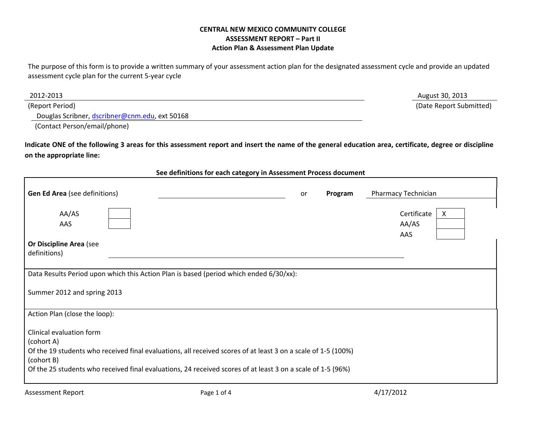## **CENTRAL NEW MEXICO COMMUNITY COLLEGE ASSESSMENT REPORT – Part II Action Plan & Assessment Plan Update**

The purpose of this form is to provide a written summary of your assessment action plan for the designated assessment cycle and provide an updated assessment cycle plan for the current 5-year cycle

| 2012-2013                                      | August 30, 2013         |
|------------------------------------------------|-------------------------|
| (Report Period)                                | (Date Report Submitted) |
| Douglas Scribner, dscribner@cnm.edu, ext 50168 |                         |

(Contact Person/email/phone)

 $\mathsf{r}$ 

**Indicate ONE of the following 3 areas for this assessment report and insert the name of the general education area, certificate, degree or discipline on the appropriate line:** 

#### **See definitions for each category in Assessment Process document**

| <b>Gen Ed Area</b> (see definitions)                                                                                                                                                                                                       |  | or | Program | Pharmacy Technician              |
|--------------------------------------------------------------------------------------------------------------------------------------------------------------------------------------------------------------------------------------------|--|----|---------|----------------------------------|
| AA/AS<br>AAS<br><b>Or Discipline Area (see</b><br>definitions)                                                                                                                                                                             |  |    |         | Certificate<br>X<br>AA/AS<br>AAS |
| Data Results Period upon which this Action Plan is based (period which ended 6/30/xx):<br>Summer 2012 and spring 2013                                                                                                                      |  |    |         |                                  |
| Action Plan (close the loop):<br>Clinical evaluation form<br>(cohort A)                                                                                                                                                                    |  |    |         |                                  |
| Of the 19 students who received final evaluations, all received scores of at least 3 on a scale of 1-5 (100%)<br>(cohort B)<br>Of the 25 students who received final evaluations, 24 received scores of at least 3 on a scale of 1-5 (96%) |  |    |         |                                  |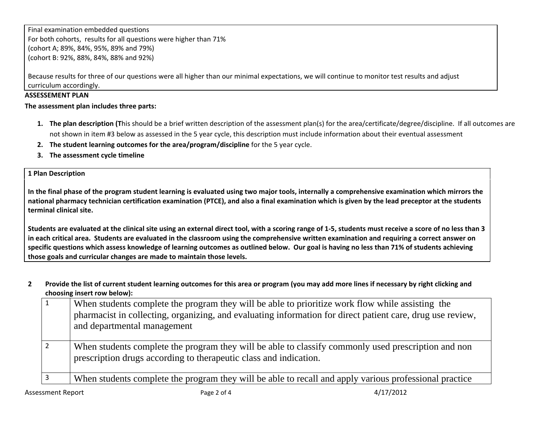Final examination embedded questions For both cohorts, results for all questions were higher than 71% (cohort A; 89%, 84%, 95%, 89% and 79%) (cohort B: 92%, 88%, 84%, 88% and 92%)

Because results for three of our questions were all higher than our minimal expectations, we will continue to monitor test results and adjust curriculum accordingly.

## **ASSESSEMENT PLAN**

**The assessment plan includes three parts:** 

- **1. The plan description (T**his should be a brief written description of the assessment plan(s) for the area/certificate/degree/discipline. If all outcomes are not shown in item #3 below as assessed in the 5 year cycle, this description must include information about their eventual assessment
- **2. The student learning outcomes for the area/program/discipline** for the 5 year cycle.
- **3. The assessment cycle timeline**

**1 Plan Description** 

**In the final phase of the program student learning is evaluated using two major tools, internally a comprehensive examination which mirrors the national pharmacy technician certification examination (PTCE), and also a final examination which is given by the lead preceptor at the students terminal clinical site.** 

**Students are evaluated at the clinical site using an external direct tool, with a scoring range of 1-5, students must receive a score of no less than 3 in each critical area. Students are evaluated in the classroom using the comprehensive written examination and requiring a correct answer on specific questions which assess knowledge of learning outcomes as outlined below. Our goal is having no less than 71% of students achieving those goals and curricular changes are made to maintain those levels.** 

**2 Provide the list of current student learning outcomes for this area or program (you may add more lines if necessary by right clicking and choosing insert row below):** 

| When students complete the program they will be able to prioritize work flow while assisting the<br>pharmacist in collecting, organizing, and evaluating information for direct patient care, drug use review,<br>and departmental management |
|-----------------------------------------------------------------------------------------------------------------------------------------------------------------------------------------------------------------------------------------------|
| When students complete the program they will be able to classify commonly used prescription and non<br>prescription drugs according to the rapeutic class and indication.                                                                     |
| When students complete the program they will be able to recall and apply various professional practice                                                                                                                                        |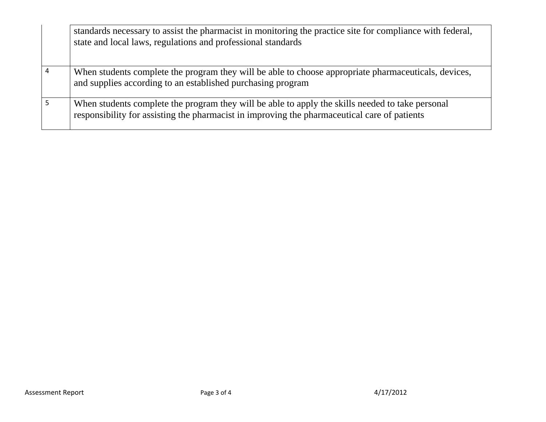| standards necessary to assist the pharmacist in monitoring the practice site for compliance with federal,<br>state and local laws, regulations and professional standards                        |
|--------------------------------------------------------------------------------------------------------------------------------------------------------------------------------------------------|
| When students complete the program they will be able to choose appropriate pharmaceuticals, devices,<br>and supplies according to an established purchasing program                              |
| When students complete the program they will be able to apply the skills needed to take personal<br>responsibility for assisting the pharmacist in improving the pharmaceutical care of patients |